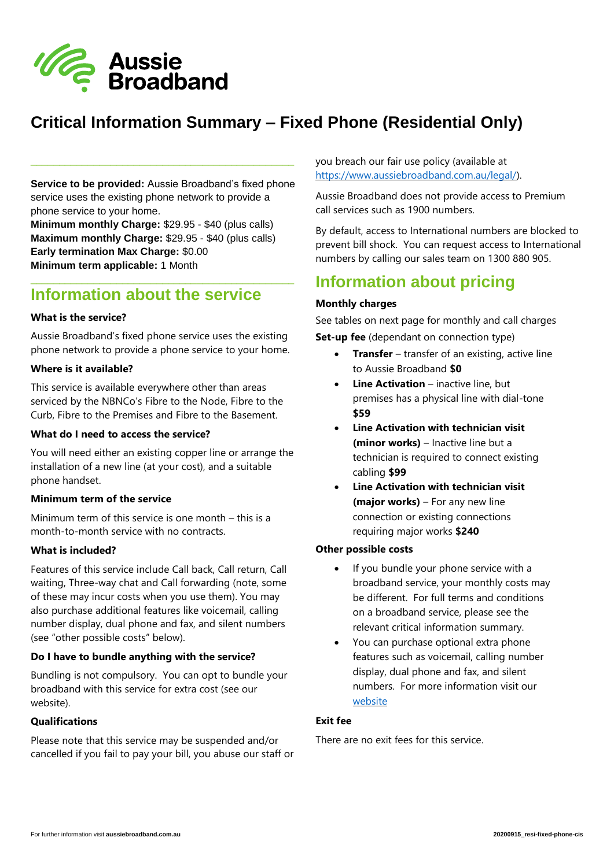

# **Critical Information Summary – Fixed Phone (Residential Only)**

**Service to be provided:** Aussie Broadband's fixed phone service uses the existing phone network to provide a phone service to your home.

\_\_\_\_\_\_\_\_\_\_\_\_\_\_\_\_\_\_\_\_\_\_\_\_\_\_\_\_\_\_\_\_\_\_\_\_\_\_\_\_\_\_\_\_\_\_

**Minimum monthly Charge:** \$29.95 - \$40 (plus calls) **Maximum monthly Charge:** \$29.95 - \$40 (plus calls) **Early termination Max Charge:** \$0.00 **Minimum term applicable:** 1 Month

# **Information about the service**

#### **What is the service?**

Aussie Broadband's fixed phone service uses the existing phone network to provide a phone service to your home.

\_\_\_\_\_\_\_\_\_\_\_\_\_\_\_\_\_\_\_\_\_\_\_\_\_\_\_\_\_\_\_\_\_\_\_\_\_\_\_\_\_\_\_\_\_\_

### **Where is it available?**

This service is available everywhere other than areas serviced by the NBNCo's Fibre to the Node, Fibre to the Curb, Fibre to the Premises and Fibre to the Basement.

# **What do I need to access the service?**

You will need either an existing copper line or arrange the installation of a new line (at your cost), and a suitable phone handset.

#### **Minimum term of the service**

Minimum term of this service is one month – this is a month-to-month service with no contracts.

# **What is included?**

Features of this service include Call back, Call return, Call waiting, Three-way chat and Call forwarding (note, some of these may incur costs when you use them). You may also purchase additional features like voicemail, calling number display, dual phone and fax, and silent numbers (see "other possible costs" below).

# **Do I have to bundle anything with the service?**

Bundling is not compulsory. You can opt to bundle your broadband with this service for extra cost (see our website).

#### **Qualifications**

Please note that this service may be suspended and/or cancelled if you fail to pay your bill, you abuse our staff or you breach our fair use policy (available at [https://www.aussiebroadband.com.au/legal/\)](https://www.aussiebroadband.com.au/legal/).

Aussie Broadband does not provide access to Premium call services such as 1900 numbers.

By default, access to International numbers are blocked to prevent bill shock. You can request access to International numbers by calling our sales team on 1300 880 905.

# **Information about pricing**

#### **Monthly charges**

See tables on next page for monthly and call charges **Set-up fee** (dependant on connection type)

- **Transfer** transfer of an existing, active line to Aussie Broadband **\$0**
- **Line Activation** inactive line, but premises has a physical line with dial-tone **\$59**
- **Line Activation with technician visit (minor works)** – Inactive line but a technician is required to connect existing cabling **\$99**
- **Line Activation with technician visit (major works)** – For any new line connection or existing connections requiring major works **\$240**

# **Other possible costs**

- If you bundle your phone service with a broadband service, your monthly costs may be different. For full terms and conditions on a broadband service, please see the relevant critical information summary.
- You can purchase optional extra phone features such as voicemail, calling number display, dual phone and fax, and silent numbers. For more information visit our [website](https://www.aussiebroadband.com.au/help-centre/phone/fixed-phone/)

# **Exit fee**

There are no exit fees for this service.